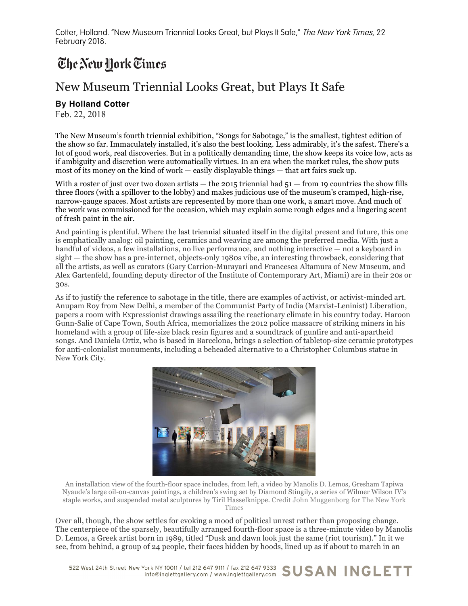## The New Hork Times

## New Museum Triennial Looks Great, but Plays It Safe

## **By Holland Cotter**

Feb. 22, 2018

The New Museum's fourth triennial exhibition, "Songs for Sabotage," is the smallest, tightest edition of the show so far. Immaculately installed, it's also the best looking. Less admirably, it's the safest. There's a lot of good work, real discoveries. But in a politically demanding time, the show keeps its voice low, acts as if ambiguity and discretion were automatically virtues. In an era when the market rules, the show puts most of its money on the kind of work — easily displayable things — that art fairs suck up.

With a roster of just over two dozen artists — the 2015 triennial had  $51 -$  from 19 countries the show fills three floors (with a spillover to the lobby) and makes judicious use of the museum's cramped, high-rise, narrow-gauge spaces. Most artists are represented by more than one work, a smart move. And much of the work was commissioned for the occasion, which may explain some rough edges and a lingering scent of fresh paint in the air.

And painting is plentiful. Where the last triennial situated itself in the digital present and future, this one is emphatically analog: oil painting, ceramics and weaving are among the preferred media. With just a handful of videos, a few installations, no live performance, and nothing interactive — not a keyboard in sight — the show has a pre-internet, objects-only 1980s vibe, an interesting throwback, considering that all the artists, as well as curators (Gary Carrion-Murayari and Francesca Altamura of New Museum, and Alex Gartenfeld, founding deputy director of the Institute of Contemporary Art, Miami) are in their 20s or 30s.

As if to justify the reference to sabotage in the title, there are examples of activist, or activist-minded art. Anupam Roy from New Delhi, a member of the Communist Party of India (Marxist-Leninist) Liberation, papers a room with Expressionist drawings assailing the reactionary climate in his country today. Haroon Gunn-Salie of Cape Town, South Africa, memorializes the 2012 police massacre of striking miners in his homeland with a group of life-size black resin figures and a soundtrack of gunfire and anti-apartheid songs. And Daniela Ortiz, who is based in Barcelona, brings a selection of tabletop-size ceramic prototypes for anti-colonialist monuments, including a beheaded alternative to a Christopher Columbus statue in New York City.



An installation view of the fourth-floor space includes, from left, a video by Manolis D. Lemos, Gresham Tapiwa Nyaude's large oil-on-canvas paintings, a children's swing set by Diamond Stingily, a series of Wilmer Wilson IV's staple works, and suspended metal sculptures by Tiril Hasselknippe. Credit John Muggenborg for The New York Times

Over all, though, the show settles for evoking a mood of political unrest rather than proposing change. The centerpiece of the sparsely, beautifully arranged fourth-floor space is a three-minute video by Manolis D. Lemos, a Greek artist born in 1989, titled "Dusk and dawn look just the same (riot tourism)." In it we see, from behind, a group of 24 people, their faces hidden by hoods, lined up as if about to march in an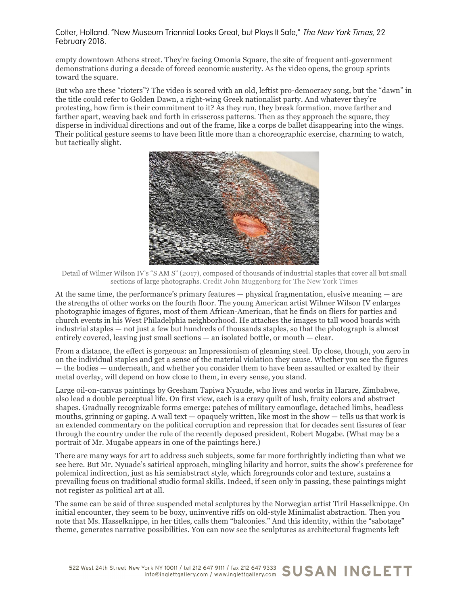Cotter, Holland. "New Museum Triennial Looks Great, but Plays It Safe," The New York Times, 22 February 2018.

empty downtown Athens street. They're facing Omonia Square, the site of frequent anti-government demonstrations during a decade of forced economic austerity. As the video opens, the group sprints toward the square.

But who are these "rioters"? The video is scored with an old, leftist pro-democracy song, but the "dawn" in the title could refer to Golden Dawn, a right-wing Greek nationalist party. And whatever they're protesting, how firm is their commitment to it? As they run, they break formation, move farther and farther apart, weaving back and forth in crisscross patterns. Then as they approach the square, they disperse in individual directions and out of the frame, like a corps de ballet disappearing into the wings. Their political gesture seems to have been little more than a choreographic exercise, charming to watch, but tactically slight.



Detail of Wilmer Wilson IV's "S AM S" (2017), composed of thousands of industrial staples that cover all but small sections of large photographs. Credit John Muggenborg for The New York Times

At the same time, the performance's primary features — physical fragmentation, elusive meaning — are the strengths of other works on the fourth floor. The young American artist Wilmer Wilson IV enlarges photographic images of figures, most of them African-American, that he finds on fliers for parties and church events in his West Philadelphia neighborhood. He attaches the images to tall wood boards with industrial staples — not just a few but hundreds of thousands staples, so that the photograph is almost entirely covered, leaving just small sections — an isolated bottle, or mouth — clear.

From a distance, the effect is gorgeous: an Impressionism of gleaming steel. Up close, though, you zero in on the individual staples and get a sense of the material violation they cause. Whether you see the figures — the bodies — underneath, and whether you consider them to have been assaulted or exalted by their metal overlay, will depend on how close to them, in every sense, you stand.

Large oil-on-canvas paintings by Gresham Tapiwa Nyaude, who lives and works in Harare, Zimbabwe, also lead a double perceptual life. On first view, each is a crazy quilt of lush, fruity colors and abstract shapes. Gradually recognizable forms emerge: patches of military camouflage, detached limbs, headless mouths, grinning or gaping. A wall text — opaquely written, like most in the show — tells us that work is an extended commentary on the political corruption and repression that for decades sent fissures of fear through the country under the rule of the recently deposed president, Robert Mugabe. (What may be a portrait of Mr. Mugabe appears in one of the paintings here.)

There are many ways for art to address such subjects, some far more forthrightly indicting than what we see here. But Mr. Nyuade's satirical approach, mingling hilarity and horror, suits the show's preference for polemical indirection, just as his semiabstract style, which foregrounds color and texture, sustains a prevailing focus on traditional studio formal skills. Indeed, if seen only in passing, these paintings might not register as political art at all.

The same can be said of three suspended metal sculptures by the Norwegian artist Tiril Hasselknippe. On initial encounter, they seem to be boxy, uninventive riffs on old-style Minimalist abstraction. Then you note that Ms. Hasselknippe, in her titles, calls them "balconies." And this identity, within the "sabotage" theme, generates narrative possibilities. You can now see the sculptures as architectural fragments left